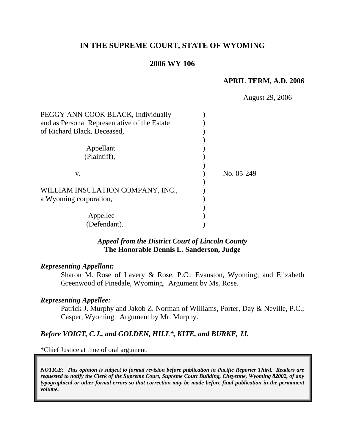# **IN THE SUPREME COURT, STATE OF WYOMING**

## **2006 WY 106**

### **APRIL TERM, A.D. 2006**

|                                                             | <b>August 29, 2006</b> |  |
|-------------------------------------------------------------|------------------------|--|
| PEGGY ANN COOK BLACK, Individually                          |                        |  |
| and as Personal Representative of the Estate                |                        |  |
| of Richard Black, Deceased,                                 |                        |  |
| Appellant<br>(Plaintiff),                                   |                        |  |
| V.                                                          | No. 05-249             |  |
| WILLIAM INSULATION COMPANY, INC.,<br>a Wyoming corporation, |                        |  |
| Appellee<br>(Defendant).                                    |                        |  |

## *Appeal from the District Court of Lincoln County* **The Honorable Dennis L. Sanderson, Judge**

#### *Representing Appellant:*

Sharon M. Rose of Lavery & Rose, P.C.; Evanston, Wyoming; and Elizabeth Greenwood of Pinedale, Wyoming. Argument by Ms. Rose.

#### *Representing Appellee:*

Patrick J. Murphy and Jakob Z. Norman of Williams, Porter, Day & Neville, P.C.; Casper, Wyoming. Argument by Mr. Murphy.

## *Before VOIGT, C.J., and GOLDEN, HILL\*, KITE, and BURKE, JJ.*

\*Chief Justice at time of oral argument.

*NOTICE: This opinion is subject to formal revision before publication in Pacific Reporter Third. Readers are requested to notify the Clerk of the Supreme Court, Supreme Court Building, Cheyenne, Wyoming 82002, of any typographical or other formal errors so that correction may be made before final publication in the permanent volume.*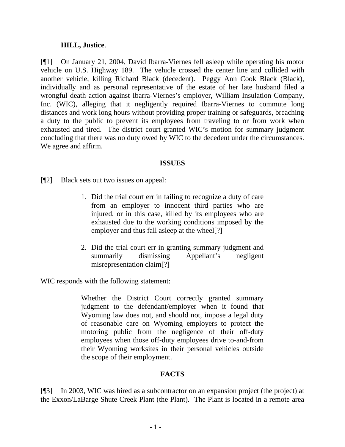### **HILL, Justice**.

[¶1] On January 21, 2004, David Ibarra-Viernes fell asleep while operating his motor vehicle on U.S. Highway 189. The vehicle crossed the center line and collided with another vehicle, killing Richard Black (decedent). Peggy Ann Cook Black (Black), individually and as personal representative of the estate of her late husband filed a wrongful death action against Ibarra-Viernes's employer, William Insulation Company, Inc. (WIC), alleging that it negligently required Ibarra-Viernes to commute long distances and work long hours without providing proper training or safeguards, breaching a duty to the public to prevent its employees from traveling to or from work when exhausted and tired. The district court granted WIC's motion for summary judgment concluding that there was no duty owed by WIC to the decedent under the circumstances. We agree and affirm.

### **ISSUES**

[¶2] Black sets out two issues on appeal:

- 1. Did the trial court err in failing to recognize a duty of care from an employer to innocent third parties who are injured, or in this case, killed by its employees who are exhausted due to the working conditions imposed by the employer and thus fall asleep at the wheel[?]
- 2. Did the trial court err in granting summary judgment and summarily dismissing Appellant's negligent misrepresentation claim[?]

WIC responds with the following statement:

Whether the District Court correctly granted summary judgment to the defendant/employer when it found that Wyoming law does not, and should not, impose a legal duty of reasonable care on Wyoming employers to protect the motoring public from the negligence of their off-duty employees when those off-duty employees drive to-and-from their Wyoming worksites in their personal vehicles outside the scope of their employment.

# **FACTS**

[¶3] In 2003, WIC was hired as a subcontractor on an expansion project (the project) at the Exxon/LaBarge Shute Creek Plant (the Plant). The Plant is located in a remote area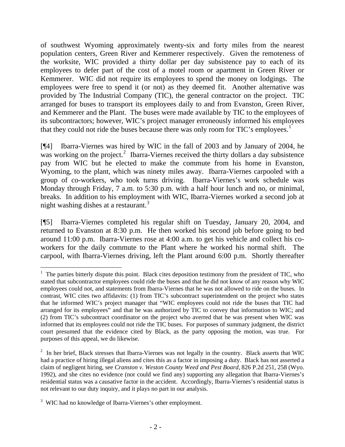of southwest Wyoming approximately twenty-six and forty miles from the nearest population centers, Green River and Kemmerer respectively. Given the remoteness of the worksite, WIC provided a thirty dollar per day subsistence pay to each of its employees to defer part of the cost of a motel room or apartment in Green River or Kemmerer. WIC did not require its employees to spend the money on lodgings. The employees were free to spend it (or not) as they deemed fit. Another alternative was provided by The Industrial Company (TIC), the general contractor on the project. TIC arranged for buses to transport its employees daily to and from Evanston, Green River, and Kemmerer and the Plant. The buses were made available by TIC to the employees of its subcontractors; however, WIC's project manager erroneously informed his employees that they could not ride the buses because there was only room for TIC's employees.<sup>[1](#page-3-0)</sup>

[¶4] Ibarra-Viernes was hired by WIC in the fall of 2003 and by January of 2004, he was working on the project.<sup>[2](#page-3-1)</sup> Ibarra-Viernes received the thirty dollars a day subsistence pay from WIC but he elected to make the commute from his home in Evanston, Wyoming, to the plant, which was ninety miles away. Ibarra-Viernes carpooled with a group of co-workers, who took turns driving. Ibarra-Viernes's work schedule was Monday through Friday, 7 a.m. to 5:30 p.m. with a half hour lunch and no, or minimal, breaks. In addition to his employment with WIC, Ibarra-Viernes worked a second job at night washing dishes at a restaurant.<sup>[3](#page-3-2)</sup>

[¶5] Ibarra-Viernes completed his regular shift on Tuesday, January 20, 2004, and returned to Evanston at 8:30 p.m. He then worked his second job before going to bed around 11:00 p.m. Ibarra-Viernes rose at 4:00 a.m. to get his vehicle and collect his coworkers for the daily commute to the Plant where he worked his normal shift. The carpool, with Ibarra-Viernes driving, left the Plant around 6:00 p.m. Shortly thereafter

 $\overline{a}$ 

<span id="page-3-0"></span> $1$  The parties bitterly dispute this point. Black cites deposition testimony from the president of TIC, who stated that subcontractor employees could ride the buses and that he did not know of any reason why WIC employees could not, and statements from Ibarra-Viernes that he was not allowed to ride on the buses. In contrast, WIC cites two affidavits: (1) from TIC's subcontract superintendent on the project who states that he informed WIC's project manager that "WIC employees could not ride the buses that TIC had arranged for its employees" and that he was authorized by TIC to convey that information to WIC; and (2) from TIC's subcontract coordinator on the project who averred that he was present when WIC was informed that its employees could not ride the TIC buses. For purposes of summary judgment, the district court presumed that the evidence cited by Black, as the party opposing the motion, was true. For purposes of this appeal, we do likewise.

<span id="page-3-1"></span> $2\;\;$  In her brief, Black stresses that Ibarra-Viernes was not legally in the country. Black asserts that WIC had a practice of hiring illegal aliens and cites this as a factor in imposing a duty. Black has not asserted a claim of negligent hiring, see *Cranston v. Weston County Weed and Pest Board,* 826 P.2d 251, 258 (Wyo. 1992), and she cites no evidence (nor could we find any) supporting any allegation that Ibarra-Viernes's residential status was a causative factor in the accident. Accordingly, Ibarra-Viernes's residential status is not relevant to our duty inquiry, and it plays no part in our analysis.

<span id="page-3-2"></span><sup>&</sup>lt;sup>3</sup> WIC had no knowledge of Ibarra-Viernes's other employment.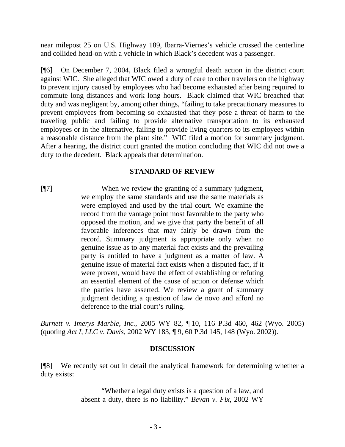near milepost 25 on U.S. Highway 189, Ibarra-Viernes's vehicle crossed the centerline and collided head-on with a vehicle in which Black's decedent was a passenger.

[¶6] On December 7, 2004, Black filed a wrongful death action in the district court against WIC. She alleged that WIC owed a duty of care to other travelers on the highway to prevent injury caused by employees who had become exhausted after being required to commute long distances and work long hours. Black claimed that WIC breached that duty and was negligent by, among other things, "failing to take precautionary measures to prevent employees from becoming so exhausted that they pose a threat of harm to the traveling public and failing to provide alternative transportation to its exhausted employees or in the alternative, failing to provide living quarters to its employees within a reasonable distance from the plant site." WIC filed a motion for summary judgment. After a hearing, the district court granted the motion concluding that WIC did not owe a duty to the decedent. Black appeals that determination.

## **STANDARD OF REVIEW**

[¶7] When we review the granting of a summary judgment, we employ the same standards and use the same materials as were employed and used by the trial court. We examine the record from the vantage point most favorable to the party who opposed the motion, and we give that party the benefit of all favorable inferences that may fairly be drawn from the record. Summary judgment is appropriate only when no genuine issue as to any material fact exists and the prevailing party is entitled to have a judgment as a matter of law. A genuine issue of material fact exists when a disputed fact, if it were proven, would have the effect of establishing or refuting an essential element of the cause of action or defense which the parties have asserted. We review a grant of summary judgment deciding a question of law de novo and afford no deference to the trial court's ruling.

*Burnett v. Imerys Marble, Inc.*, 2005 WY 82, ¶ 10, 116 P.3d 460, 462 (Wyo. 2005) (quoting *Act I, LLC v. Davis*, 2002 WY 183, ¶ 9, 60 P.3d 145, 148 (Wyo. 2002)).

# **DISCUSSION**

[¶8] We recently set out in detail the analytical framework for determining whether a duty exists:

> "Whether a legal duty exists is a question of a law, and absent a duty, there is no liability." *Bevan v. Fix*, 2002 WY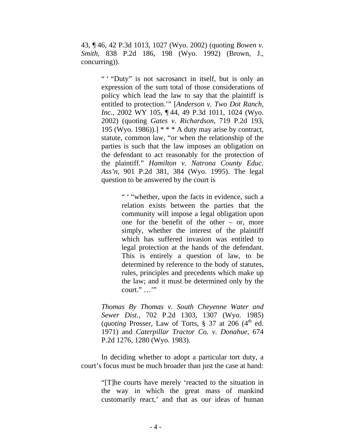43, ¶ 46, 42 P.3d 1013, 1027 (Wyo. 2002) (quoting *Bowen v. Smith*, 838 P.2d 186, 198 (Wyo. 1992) (Brown, J., concurring)).

> " "Duty" is not sacrosanct in itself, but is only an expression of the sum total of those considerations of policy which lead the law to say that the plaintiff is entitled to protection.'" [*Anderson v. Two Dot Ranch, Inc.*, 2002 WY 105, ¶ 44, 49 P.3d 1011, 1024 (Wyo. 2002) (quoting *Gates v. Richardson*, 719 P.2d 193, 195 (Wyo. 1986)).]  $* * * A$  duty may arise by contract, statute, common law, "or when the relationship of the parties is such that the law imposes an obligation on the defendant to act reasonably for the protection of the plaintiff." *Hamilton v. Natrona County Educ. Ass'n*, 901 P.2d 381, 384 (Wyo. 1995). The legal question to be answered by the court is

> > " ' "whether, upon the facts in evidence, such a relation exists between the parties that the community will impose a legal obligation upon one for the benefit of the other – or, more simply, whether the interest of the plaintiff which has suffered invasion was entitled to legal protection at the hands of the defendant. This is entirely a question of law, to be determined by reference to the body of statutes, rules, principles and precedents which make up the law; and it must be determined only by the court." …'"

*Thomas By Thomas v. South Cheyenne Water and Sewer Dist.*, 702 P.2d 1303, 1307 (Wyo. 1985) (*quoting* Prosser, Law of Torts,  $\S$  37 at 206 (4<sup>th</sup> ed.) 1971) and *Caterpillar Tractor Co. v. Donahue*, 674 P.2d 1276, 1280 (Wyo. 1983).

In deciding whether to adopt a particular tort duty, a court's focus must be much broader than just the case at hand:

> "[T]he courts have merely 'reacted to the situation in the way in which the great mass of mankind customarily react,' and that as our ideas of human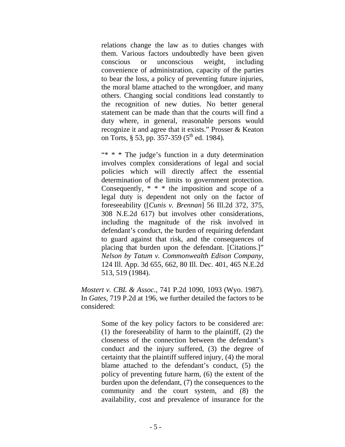relations change the law as to duties changes with them. Various factors undoubtedly have been given conscious or unconscious weight, including convenience of administration, capacity of the parties to bear the loss, a policy of preventing future injuries, the moral blame attached to the wrongdoer, and many others. Changing social conditions lead constantly to the recognition of new duties. No better general statement can be made than that the courts will find a duty where, in general, reasonable persons would recognize it and agree that it exists." Prosser & Keaton on Torts, § 53, pp. 357-359 (5<sup>th</sup> ed. 1984).

"\* \* \* The judge's function in a duty determination involves complex considerations of legal and social policies which will directly affect the essential determination of the limits to government protection. Consequently, \* \* \* the imposition and scope of a legal duty is dependent not only on the factor of foreseeability ([*Cunis v. Brennan*] 56 Ill.2d 372, 375, 308 N.E.2d 617) but involves other considerations, including the magnitude of the risk involved in defendant's conduct, the burden of requiring defendant to guard against that risk, and the consequences of placing that burden upon the defendant. [Citations.]" *Nelson by Tatum v. Commonwealth Edison Company*, 124 Ill. App. 3d 655, 662, 80 Ill. Dec. 401, 465 N.E.2d 513, 519 (1984).

*Mostert v. CBL & Assoc.*, 741 P.2d 1090, 1093 (Wyo. 1987). In *Gates*, 719 P.2d at 196, we further detailed the factors to be considered:

> Some of the key policy factors to be considered are: (1) the foreseeability of harm to the plaintiff, (2) the closeness of the connection between the defendant's conduct and the injury suffered, (3) the degree of certainty that the plaintiff suffered injury, (4) the moral blame attached to the defendant's conduct, (5) the policy of preventing future harm, (6) the extent of the burden upon the defendant, (7) the consequences to the community and the court system, and (8) the availability, cost and prevalence of insurance for the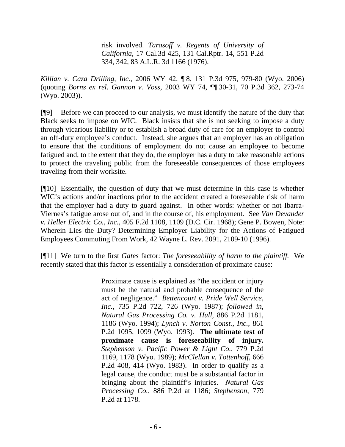risk involved. *Tarasoff v. Regents of University of California*, 17 Cal.3d 425, 131 Cal.Rptr. 14, 551 P.2d 334, 342, 83 A.L.R. 3d 1166 (1976).

*Killian v. Caza Drilling, Inc.*, 2006 WY 42, ¶ 8, 131 P.3d 975, 979-80 (Wyo. 2006) (quoting *Borns ex rel. Gannon v. Voss*, 2003 WY 74, ¶¶ 30-31, 70 P.3d 362, 273-74 (Wyo. 2003)).

[¶9] Before we can proceed to our analysis, we must identify the nature of the duty that Black seeks to impose on WIC. Black insists that she is not seeking to impose a duty through vicarious liability or to establish a broad duty of care for an employer to control an off-duty employee's conduct. Instead, she argues that an employer has an obligation to ensure that the conditions of employment do not cause an employee to become fatigued and, to the extent that they do, the employer has a duty to take reasonable actions to protect the traveling public from the foreseeable consequences of those employees traveling from their worksite.

[¶10] Essentially, the question of duty that we must determine in this case is whether WIC's actions and/or inactions prior to the accident created a foreseeable risk of harm that the employer had a duty to guard against. In other words: whether or not Ibarra-Viernes's fatigue arose out of, and in the course of, his employment. See *Van Devander v. Heller Electric Co., Inc.*, 405 F.2d 1108, 1109 (D.C. Cir. 1968); Gene P. Bowen, Note: Wherein Lies the Duty? Determining Employer Liability for the Actions of Fatigued Employees Commuting From Work, 42 Wayne L. Rev. 2091, 2109-10 (1996).

[¶11] We turn to the first *Gates* factor: *The foreseeability of harm to the plaintiff.* We recently stated that this factor is essentially a consideration of proximate cause:

> Proximate cause is explained as "the accident or injury must be the natural and probable consequence of the act of negligence." *Bettencourt v. Pride Well Service, Inc.*, 735 P.2d 722, 726 (Wyo. 1987); *followed in*, *Natural Gas Processing Co. v. Hull*, 886 P.2d 1181, 1186 (Wyo. 1994); *Lynch v. Norton Const., Inc.*, 861 P.2d 1095, 1099 (Wyo. 1993). **The ultimate test of proximate cause is foreseeability of injury***. Stephenson v. Pacific Power & Light Co.*, 779 P.2d 1169, 1178 (Wyo. 1989); *McClellan v. Tottenhoff*, 666 P.2d 408, 414 (Wyo. 1983). In order to qualify as a legal cause, the conduct must be a substantial factor in bringing about the plaintiff's injuries. *Natural Gas Processing Co.*, 886 P.2d at 1186; *Stephenson*, 779 P.2d at 1178.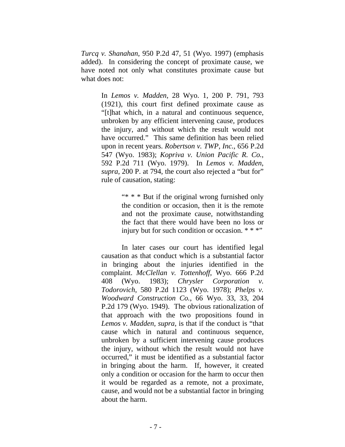*Turcq v. Shanahan*, 950 P.2d 47, 51 (Wyo. 1997) (emphasis added). In considering the concept of proximate cause, we have noted not only what constitutes proximate cause but what does not:

> In *Lemos v. Madden*, 28 Wyo. 1, 200 P. 791, 793 (1921), this court first defined proximate cause as "[t]hat which, in a natural and continuous sequence, unbroken by any efficient intervening cause, produces the injury, and without which the result would not have occurred." This same definition has been relied upon in recent years. *Robertson v. TWP, Inc.*, 656 P.2d 547 (Wyo. 1983); *Kopriva v. Union Pacific R. Co.*, 592 P.2d 711 (Wyo. 1979). In *Lemos v. Madden*, *supra*, 200 P. at 794, the court also rejected a "but for" rule of causation, stating:

> > "\* \* \* But if the original wrong furnished only the condition or occasion, then it is the remote and not the proximate cause, notwithstanding the fact that there would have been no loss or injury but for such condition or occasion.  $***$

In later cases our court has identified legal causation as that conduct which is a substantial factor in bringing about the injuries identified in the complaint. *McClellan v. Tottenhoff*, Wyo. 666 P.2d 408 (Wyo. 1983); *Chrysler Corporation Todorovich*, 580 P.2d 1123 (Wyo. 1978); *Phelps v. Woodward Construction Co.*, 66 Wyo. 33, 33, 204 P.2d 179 (Wyo. 1949). The obvious rationalization of that approach with the two propositions found in *Lemos v. Madden, supra*, is that if the conduct is "that cause which in natural and continuous sequence, unbroken by a sufficient intervening cause produces the injury, without which the result would not have occurred," it must be identified as a substantial factor in bringing about the harm. If, however, it created only a condition or occasion for the harm to occur then it would be regarded as a remote, not a proximate, cause, and would not be a substantial factor in bringing about the harm.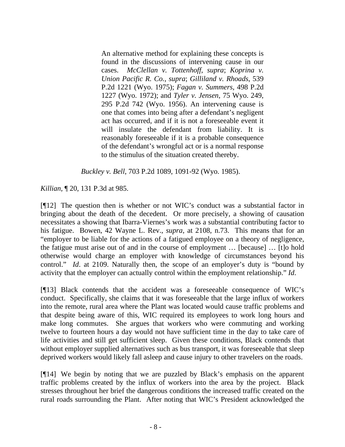An alternative method for explaining these concepts is found in the discussions of intervening cause in our cases. *McClellan v. Tottenhoff*, *supra*; *Koprina v. Union Pacific R. Co.*, *supra*; *Gilliland v. Rhoads*, 539 P.2d 1221 (Wyo. 1975); *Fagan v. Summers*, 498 P.2d 1227 (Wyo. 1972); and *Tyler v. Jensen*, 75 Wyo. 249, 295 P.2d 742 (Wyo. 1956). An intervening cause is one that comes into being after a defendant's negligent act has occurred, and if it is not a foreseeable event it will insulate the defendant from liability. It is reasonably foreseeable if it is a probable consequence of the defendant's wrongful act or is a normal response to the stimulus of the situation created thereby.

*Buckley v. Bell*, 703 P.2d 1089, 1091-92 (Wyo. 1985).

*Killian,* ¶ 20, 131 P.3d at 985.

[¶12] The question then is whether or not WIC's conduct was a substantial factor in bringing about the death of the decedent. Or more precisely, a showing of causation necessitates a showing that Ibarra-Viernes's work was a substantial contributing factor to his fatigue. Bowen, 42 Wayne L. Rev., *supra*, at 2108, n.73. This means that for an "employer to be liable for the actions of a fatigued employee on a theory of negligence, the fatigue must arise out of and in the course of employment … [because] … [t]o hold otherwise would charge an employer with knowledge of circumstances beyond his control." *Id*. at 2109. Naturally then, the scope of an employer's duty is "bound by activity that the employer can actually control within the employment relationship." *Id*.

[¶13] Black contends that the accident was a foreseeable consequence of WIC's conduct. Specifically, she claims that it was foreseeable that the large influx of workers into the remote, rural area where the Plant was located would cause traffic problems and that despite being aware of this, WIC required its employees to work long hours and make long commutes. She argues that workers who were commuting and working twelve to fourteen hours a day would not have sufficient time in the day to take care of life activities and still get sufficient sleep. Given these conditions, Black contends that without employer supplied alternatives such as bus transport, it was foreseeable that sleep deprived workers would likely fall asleep and cause injury to other travelers on the roads.

[¶14] We begin by noting that we are puzzled by Black's emphasis on the apparent traffic problems created by the influx of workers into the area by the project. Black stresses throughout her brief the dangerous conditions the increased traffic created on the rural roads surrounding the Plant. After noting that WIC's President acknowledged the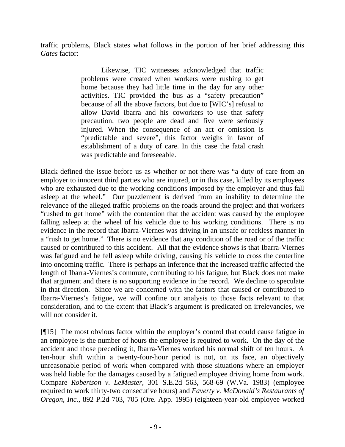traffic problems, Black states what follows in the portion of her brief addressing this *Gates* factor:

> Likewise, TIC witnesses acknowledged that traffic problems were created when workers were rushing to get home because they had little time in the day for any other activities. TIC provided the bus as a "safety precaution" because of all the above factors, but due to [WIC's] refusal to allow David Ibarra and his coworkers to use that safety precaution, two people are dead and five were seriously injured. When the consequence of an act or omission is "predictable and severe", this factor weighs in favor of establishment of a duty of care. In this case the fatal crash was predictable and foreseeable.

Black defined the issue before us as whether or not there was "a duty of care from an employer to innocent third parties who are injured, or in this case, killed by its employees who are exhausted due to the working conditions imposed by the employer and thus fall asleep at the wheel." Our puzzlement is derived from an inability to determine the relevance of the alleged traffic problems on the roads around the project and that workers "rushed to get home" with the contention that the accident was caused by the employee falling asleep at the wheel of his vehicle due to his working conditions. There is no evidence in the record that Ibarra-Viernes was driving in an unsafe or reckless manner in a "rush to get home." There is no evidence that any condition of the road or of the traffic caused or contributed to this accident. All that the evidence shows is that Ibarra-Viernes was fatigued and he fell asleep while driving, causing his vehicle to cross the centerline into oncoming traffic. There is perhaps an inference that the increased traffic affected the length of Ibarra-Viernes's commute, contributing to his fatigue, but Black does not make that argument and there is no supporting evidence in the record. We decline to speculate in that direction. Since we are concerned with the factors that caused or contributed to Ibarra-Viernes's fatigue, we will confine our analysis to those facts relevant to that consideration, and to the extent that Black's argument is predicated on irrelevancies, we will not consider it.

[¶15] The most obvious factor within the employer's control that could cause fatigue in an employee is the number of hours the employee is required to work. On the day of the accident and those preceding it, Ibarra-Viernes worked his normal shift of ten hours. A ten-hour shift within a twenty-four-hour period is not, on its face, an objectively unreasonable period of work when compared with those situations where an employer was held liable for the damages caused by a fatigued employee driving home from work. Compare *Robertson v. LeMaster*, 301 S.E.2d 563, 568-69 (W.Va. 1983) (employee required to work thirty-two consecutive hours) and *Faverty v. McDonald's Restaurants of Oregon, Inc.*, 892 P.2d 703, 705 (Ore. App. 1995) (eighteen-year-old employee worked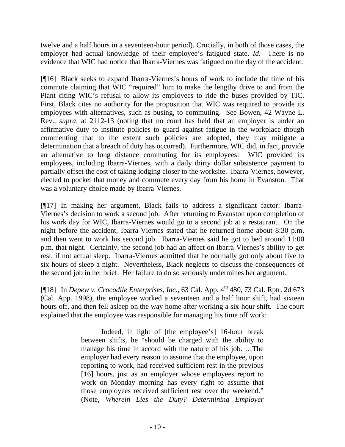twelve and a half hours in a seventeen-hour period). Crucially, in both of those cases, the employer had actual knowledge of their employee's fatigued state. *Id*. There is no evidence that WIC had notice that Ibarra-Viernes was fatigued on the day of the accident.

[¶16] Black seeks to expand Ibarra-Viernes's hours of work to include the time of his commute claiming that WIC "required" him to make the lengthy drive to and from the Plant citing WIC's refusal to allow its employees to ride the buses provided by TIC. First, Black cites no authority for the proposition that WIC was required to provide its employees with alternatives, such as busing, to commuting. See Bowen, 42 Wayne L. Rev., *supra,* at 2112-13 (noting that no court has held that an employer is under an affirmative duty to institute policies to guard against fatigue in the workplace though commenting that to the extent such policies are adopted, they may mitigate a determination that a breach of duty has occurred). Furthermore, WIC did, in fact, provide an alternative to long distance commuting for its employees: WIC provided its employees, including Ibarra-Viernes, with a daily thirty dollar subsistence payment to partially offset the cost of taking lodging closer to the worksite. Ibarra-Viernes, however, elected to pocket that money and commute every day from his home in Evanston. That was a voluntary choice made by Ibarra-Viernes.

[¶17] In making her argument, Black fails to address a significant factor: Ibarra-Viernes's decision to work a second job. After returning to Evanston upon completion of his work day for WIC, Ibarra-Viernes would go to a second job at a restaurant. On the night before the accident, Ibarra-Viernes stated that he returned home about 8:30 p.m. and then went to work his second job. Ibarra-Viernes said he got to bed around 11:00 p.m. that night. Certainly, the second job had an affect on Ibarra-Viernes's ability to get rest, if not actual sleep. Ibarra-Viernes admitted that he normally got only about five to six hours of sleep a night. Nevertheless, Black neglects to discuss the consequences of the second job in her brief. Her failure to do so seriously undermines her argument.

[¶18] In *Depew v. Crocodile Enterprises, Inc.*, 63 Cal. App. 4<sup>th</sup> 480, 73 Cal. Rptr. 2d 673 (Cal. App. 1998), the employee worked a seventeen and a half hour shift, had sixteen hours off, and then fell asleep on the way home after working a six-hour shift. The court explained that the employee was responsible for managing his time off work:

> Indeed, in light of [the employee's] 16-hour break between shifts, he "should be charged with the ability to manage his time in accord with the nature of his job. …The employer had every reason to assume that the employee, upon reporting to work, had received sufficient rest in the previous [16] hours, just as an employer whose employees report to work on Monday morning has every right to assume that those employees received sufficient rest over the weekend." (Note, *Wherein Lies the Duty? Determining Employer*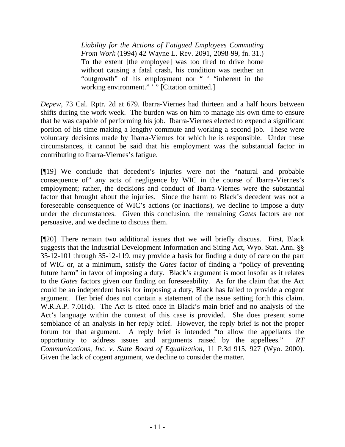*Liability for the Actions of Fatigued Employees Commuting From Work* (1994) 42 Wayne L. Rev. 2091, 2098-99, fn. 31.) To the extent [the employee] was too tired to drive home without causing a fatal crash, his condition was neither an "outgrowth" of his employment nor " ' "inherent in the working environment." "" [Citation omitted.]

*Depew*, 73 Cal. Rptr. 2d at 679. Ibarra-Viernes had thirteen and a half hours between shifts during the work week. The burden was on him to manage his own time to ensure that he was capable of performing his job. Ibarra-Viernes elected to expend a significant portion of his time making a lengthy commute and working a second job. These were voluntary decisions made by Ibarra-Viernes for which he is responsible. Under these circumstances, it cannot be said that his employment was the substantial factor in contributing to Ibarra-Viernes's fatigue.

[¶19] We conclude that decedent's injuries were not the "natural and probable consequence of" any acts of negligence by WIC in the course of Ibarra-Viernes's employment; rather, the decisions and conduct of Ibarra-Viernes were the substantial factor that brought about the injuries. Since the harm to Black's decedent was not a foreseeable consequence of WIC's actions (or inactions), we decline to impose a duty under the circumstances. Given this conclusion, the remaining *Gates* factors are not persuasive, and we decline to discuss them.

[¶20] There remain two additional issues that we will briefly discuss. First, Black suggests that the Industrial Development Information and Siting Act, Wyo. Stat. Ann. §§ 35-12-101 through 35-12-119, may provide a basis for finding a duty of care on the part of WIC or, at a minimum, satisfy the *Gates* factor of finding a "policy of preventing future harm" in favor of imposing a duty. Black's argument is moot insofar as it relates to the *Gates* factors given our finding on foreseeability. As for the claim that the Act could be an independent basis for imposing a duty, Black has failed to provide a cogent argument. Her brief does not contain a statement of the issue setting forth this claim. W.R.A.P. 7.01(d). The Act is cited once in Black's main brief and no analysis of the Act's language within the context of this case is provided. She does present some semblance of an analysis in her reply brief. However, the reply brief is not the proper forum for that argument. A reply brief is intended "to allow the appellants the opportunity to address issues and arguments raised by the appellees." *RT Communications, Inc. v. State Board of Equalization*, 11 P.3d 915, 927 (Wyo. 2000). Given the lack of cogent argument, we decline to consider the matter.